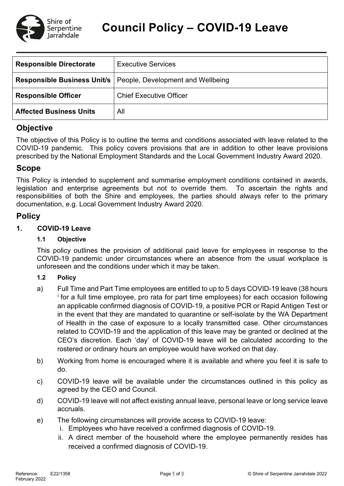

| <b>Responsible Directorate</b>     | <b>Executive Services</b>         |  |  |
|------------------------------------|-----------------------------------|--|--|
| <b>Responsible Business Unit/s</b> | People, Development and Wellbeing |  |  |
| <b>Responsible Officer</b>         | <b>Chief Executive Officer</b>    |  |  |
| <b>Affected Business Units</b>     | All                               |  |  |

# **Objective**

The objective of this Policy is to outline the terms and conditions associated with leave related to the COVID-19 pandemic. This policy covers provisions that are in addition to other leave provisions prescribed by the National Employment Standards and the Local Government Industry Award 2020.

### **Scope**

This Policy is intended to supplement and summarise employment conditions contained in awards, legislation and enterprise agreements but not to override them. To ascertain the rights and responsibilities of both the Shire and employees, the parties should always refer to the primary documentation, e.g. Local Government Industry Award 2020.

# **Policy**

### **1. COVID-19 Leave**

### **1.1 Objective**

This policy outlines the provision of additional paid leave for employees in response to the COVID-19 pandemic under circumstances where an absence from the usual workplace is unforeseen and the conditions under which it may be taken.

#### **1.2 Policy**

- a) Full Time and Part Time employees are entitled to up to 5 days COVID-19 leave (38 hours [i](#page-2-0) for a full time employee, pro rata for part time employees) for each occasion following an applicable confirmed diagnosis of COVID-19, a positive PCR or Rapid Antigen Test or in the event that they are mandated to quarantine or self-isolate by the WA Department of Health in the case of exposure to a locally transmitted case. Other circumstances related to COVID-19 and the application of this leave may be granted or declined at the CEO's discretion. Each 'day' of COVID-19 leave will be calculated according to the rostered or ordinary hours an employee would have worked on that day.
- b) Working from home is encouraged where it is available and where you feel it is safe to do.
- c) COVID-19 leave will be available under the circumstances outlined in this policy as agreed by the CEO and Council.
- d) COVID-19 leave will not affect existing annual leave, personal leave or long service leave accruals.
- e) The following circumstances will provide access to COVID-19 leave:
	- i. Employees who have received a confirmed diagnosis of COVID-19.
	- ii. A direct member of the household where the employee permanently resides has received a confirmed diagnosis of COVID-19.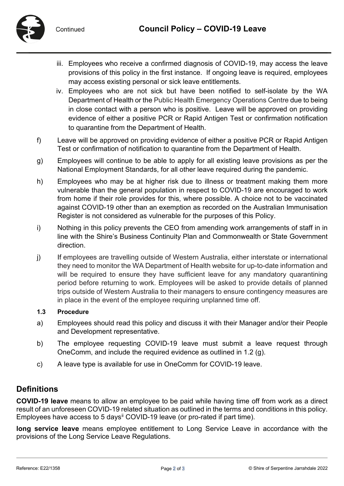

- iii. Employees who receive a confirmed diagnosis of COVID-19, may access the leave provisions of this policy in the first instance. If ongoing leave is required, employees may access existing personal or sick leave entitlements.
- iv. Employees who are not sick but have been notified to self-isolate by the WA Department of Health or the Public Health Emergency Operations Centre due to being in close contact with a person who is positive. Leave will be approved on providing evidence of either a positive PCR or Rapid Antigen Test or confirmation notification to quarantine from the Department of Health.
- f) Leave will be approved on providing evidence of either a positive PCR or Rapid Antigen Test or confirmation of notification to quarantine from the Department of Health.
- g) Employees will continue to be able to apply for all existing leave provisions as per the National Employment Standards, for all other leave required during the pandemic.
- h) Employees who may be at higher risk due to illness or treatment making them more vulnerable than the general population in respect to COVID-19 are encouraged to work from home if their role provides for this, where possible. A choice not to be vaccinated against COVID-19 other than an exemption as recorded on the Australian Immunisation Register is not considered as vulnerable for the purposes of this Policy.
- i) Nothing in this policy prevents the CEO from amending work arrangements of staff in in line with the Shire's Business Continuity Plan and Commonwealth or State Government direction.
- j) If employees are travelling outside of Western Australia, either interstate or international they need to monitor the WA Department of Health website for up-to-date information and will be required to ensure they have sufficient leave for any mandatory quarantining period before returning to work. Employees will be asked to provide details of planned trips outside of Western Australia to their managers to ensure contingency measures are in place in the event of the employee requiring unplanned time off.

#### **1.3 Procedure**

- a) Employees should read this policy and discuss it with their Manager and/or their People and Development representative.
- b) The employee requesting COVID-19 leave must submit a leave request through OneComm, and include the required evidence as outlined in 1.2 (g).
- c) A leave type is available for use in OneComm for COVID-19 leave.

### **Definitions**

**COVID-19 leave** means to allow an employee to be paid while having time off from work as a direct result of an unforeseen COVID-19 related situation as outlined in the terms and conditions in this policy. Employees have access to 5 days<sup>[ii](#page-2-1)</sup> COVID-19 leave (or pro-rated if part time).

**long service leave** means employee entitlement to Long Service Leave in accordance with the provisions of the Long Service Leave Regulations.